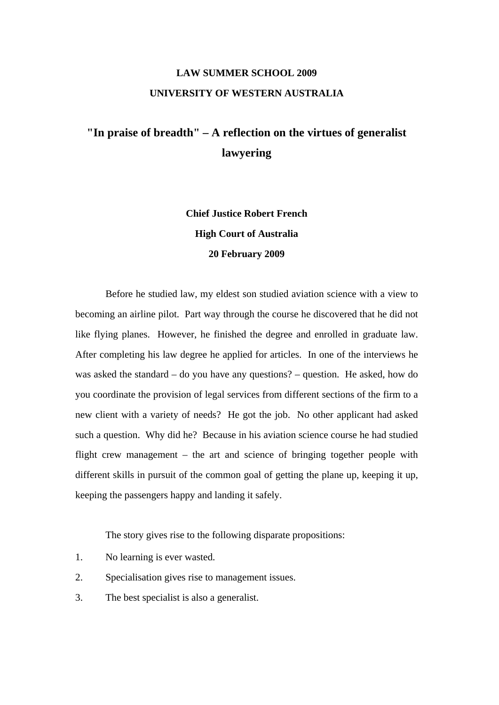## **LAW SUMMER SCHOOL 2009 UNIVERSITY OF WESTERN AUSTRALIA**

## **"In praise of breadth" – A reflection on the virtues of generalist lawyering**

**Chief Justice Robert French High Court of Australia 20 February 2009** 

 Before he studied law, my eldest son studied aviation science with a view to becoming an airline pilot. Part way through the course he discovered that he did not like flying planes. However, he finished the degree and enrolled in graduate law. After completing his law degree he applied for articles. In one of the interviews he was asked the standard – do you have any questions? – question. He asked, how do you coordinate the provision of legal services from different sections of the firm to a new client with a variety of needs? He got the job. No other applicant had asked such a question. Why did he? Because in his aviation science course he had studied flight crew management – the art and science of bringing together people with different skills in pursuit of the common goal of getting the plane up, keeping it up, keeping the passengers happy and landing it safely.

The story gives rise to the following disparate propositions:

- 1. No learning is ever wasted.
- 2. Specialisation gives rise to management issues.
- 3. The best specialist is also a generalist.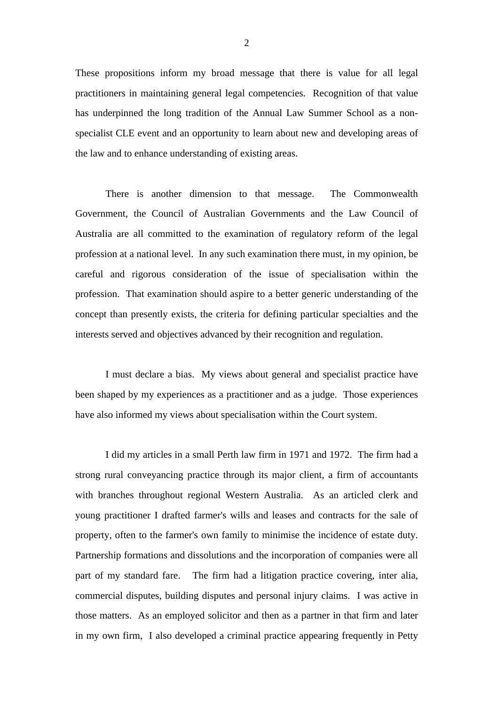These propositions inform my broad message that there is value for all legal practitioners in maintaining general legal competencies. Recognition of that value has underpinned the long tradition of the Annual Law Summer School as a nonspecialist CLE event and an opportunity to learn about new and developing areas of the law and to enhance understanding of existing areas.

 There is another dimension to that message. The Commonwealth Government, the Council of Australian Governments and the Law Council of Australia are all committed to the examination of regulatory reform of the legal profession at a national level. In any such examination there must, in my opinion, be careful and rigorous consideration of the issue of specialisation within the profession. That examination should aspire to a better generic understanding of the concept than presently exists, the criteria for defining particular specialties and the interests served and objectives advanced by their recognition and regulation.

 I must declare a bias. My views about general and specialist practice have been shaped by my experiences as a practitioner and as a judge. Those experiences have also informed my views about specialisation within the Court system.

 I did my articles in a small Perth law firm in 1971 and 1972. The firm had a strong rural conveyancing practice through its major client, a firm of accountants with branches throughout regional Western Australia. As an articled clerk and young practitioner I drafted farmer's wills and leases and contracts for the sale of property, often to the farmer's own family to minimise the incidence of estate duty. Partnership formations and dissolutions and the incorporation of companies were all part of my standard fare. The firm had a litigation practice covering, inter alia, commercial disputes, building disputes and personal injury claims. I was active in those matters. As an employed solicitor and then as a partner in that firm and later in my own firm, I also developed a criminal practice appearing frequently in Petty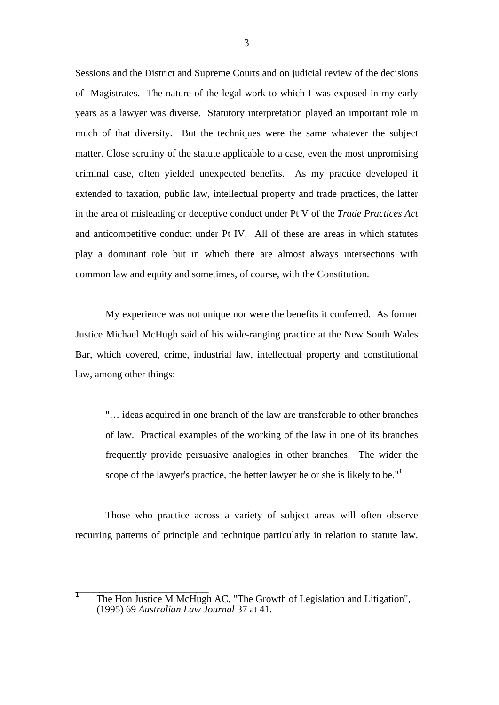Sessions and the District and Supreme Courts and on judicial review of the decisions of Magistrates. The nature of the legal work to which I was exposed in my early years as a lawyer was diverse. Statutory interpretation played an important role in much of that diversity. But the techniques were the same whatever the subject matter. Close scrutiny of the statute applicable to a case, even the most unpromising criminal case, often yielded unexpected benefits. As my practice developed it extended to taxation, public law, intellectual property and trade practices, the latter in the area of misleading or deceptive conduct under Pt V of the *Trade Practices Act*  and anticompetitive conduct under Pt IV. All of these are areas in which statutes play a dominant role but in which there are almost always intersections with common law and equity and sometimes, of course, with the Constitution.

 My experience was not unique nor were the benefits it conferred. As former Justice Michael McHugh said of his wide-ranging practice at the New South Wales Bar, which covered, crime, industrial law, intellectual property and constitutional law, among other things:

 "… ideas acquired in one branch of the law are transferable to other branches of law. Practical examples of the working of the law in one of its branches frequently provide persuasive analogies in other branches. The wider the scope of the lawyer's practice, the better lawyer he or she is likely to be."<sup>1</sup>

 Those who practice across a variety of subject areas will often observe recurring patterns of principle and technique particularly in relation to statute law.

T<br>
The Hon Justice M McHugh AC, "The Growth of Legislation and Litigation", (1995) 69 *Australian Law Journal* 37 at 41.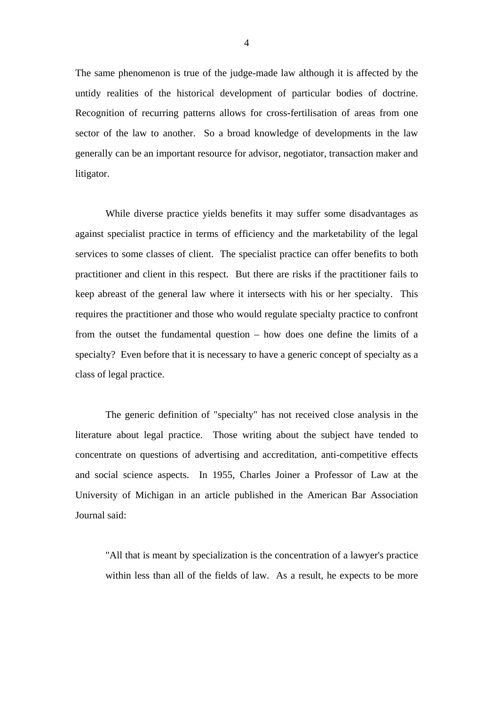The same phenomenon is true of the judge-made law although it is affected by the untidy realities of the historical development of particular bodies of doctrine. Recognition of recurring patterns allows for cross-fertilisation of areas from one sector of the law to another. So a broad knowledge of developments in the law generally can be an important resource for advisor, negotiator, transaction maker and litigator.

 While diverse practice yields benefits it may suffer some disadvantages as against specialist practice in terms of efficiency and the marketability of the legal services to some classes of client. The specialist practice can offer benefits to both practitioner and client in this respect. But there are risks if the practitioner fails to keep abreast of the general law where it intersects with his or her specialty. This requires the practitioner and those who would regulate specialty practice to confront from the outset the fundamental question – how does one define the limits of a specialty? Even before that it is necessary to have a generic concept of specialty as a class of legal practice.

 The generic definition of "specialty" has not received close analysis in the literature about legal practice. Those writing about the subject have tended to concentrate on questions of advertising and accreditation, anti-competitive effects and social science aspects. In 1955, Charles Joiner a Professor of Law at the University of Michigan in an article published in the American Bar Association Journal said:

 "All that is meant by specialization is the concentration of a lawyer's practice within less than all of the fields of law. As a result, he expects to be more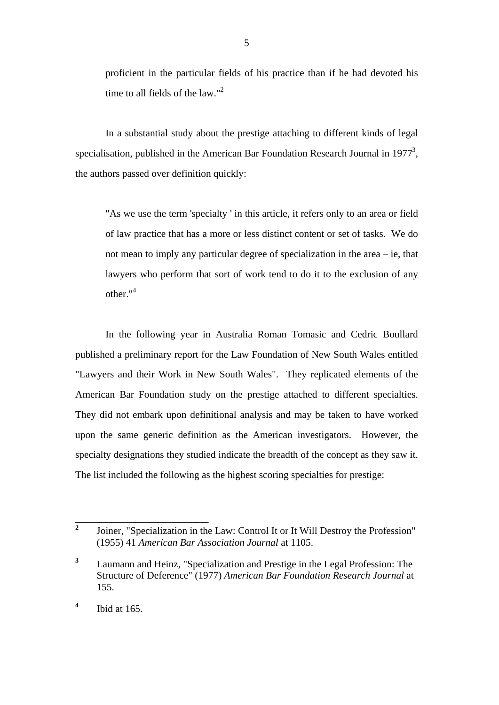proficient in the particular fields of his practice than if he had devoted his time to all fields of the law."<sup>2</sup>

 In a substantial study about the prestige attaching to different kinds of legal specialisation, published in the American Bar Foundation Research Journal in 1977<sup>3</sup>, the authors passed over definition quickly:

 "As we use the term 'specialty ' in this article, it refers only to an area or field of law practice that has a more or less distinct content or set of tasks. We do not mean to imply any particular degree of specialization in the area – ie, that lawyers who perform that sort of work tend to do it to the exclusion of any other." $4$ 

In the following year in Australia Roman Tomasic and Cedric Boullard published a preliminary report for the Law Foundation of New South Wales entitled "Lawyers and their Work in New South Wales". They replicated elements of the American Bar Foundation study on the prestige attached to different specialties. They did not embark upon definitional analysis and may be taken to have worked upon the same generic definition as the American investigators. However, the specialty designations they studied indicate the breadth of the concept as they saw it. The list included the following as the highest scoring specialties for prestige:

**<sup>2</sup>** Joiner, "Specialization in the Law: Control It or It Will Destroy the Profession" (1955) 41 *American Bar Association Journal* at 1105.

**<sup>3</sup>** Laumann and Heinz, "Specialization and Prestige in the Legal Profession: The Structure of Deference" (1977) *American Bar Foundation Research Journal* at 155.

**<sup>4</sup>** Ibid at 165.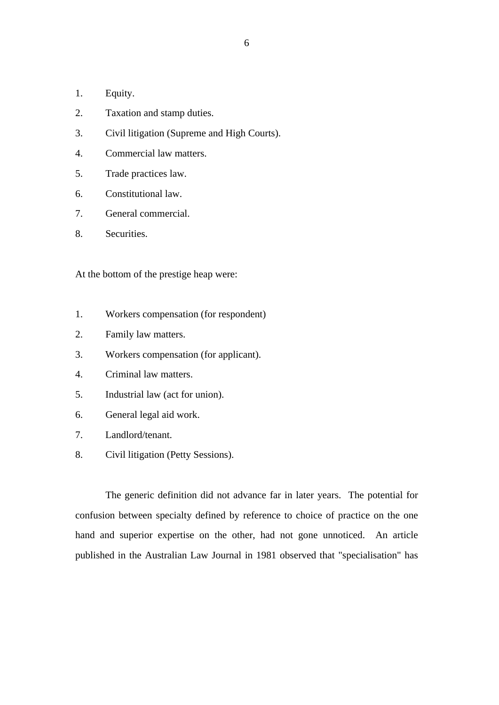- 1. Equity.
- 2. Taxation and stamp duties.
- 3. Civil litigation (Supreme and High Courts).
- 4. Commercial law matters.
- 5. Trade practices law.
- 6. Constitutional law.
- 7. General commercial.
- 8. Securities.

At the bottom of the prestige heap were:

- 1. Workers compensation (for respondent)
- 2. Family law matters.
- 3. Workers compensation (for applicant).
- 4. Criminal law matters.
- 5. Industrial law (act for union).
- 6. General legal aid work.
- 7. Landlord/tenant.
- 8. Civil litigation (Petty Sessions).

 The generic definition did not advance far in later years. The potential for confusion between specialty defined by reference to choice of practice on the one hand and superior expertise on the other, had not gone unnoticed. An article published in the Australian Law Journal in 1981 observed that "specialisation" has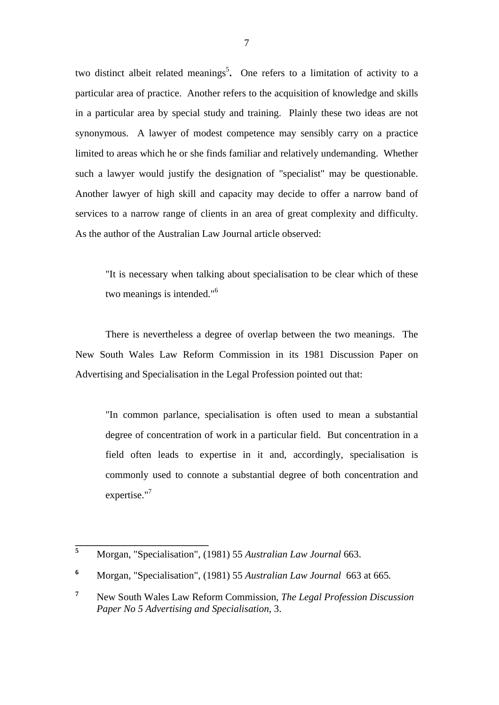two distinct albeit related meanings<sup>5</sup>. One refers to a limitation of activity to a particular area of practice. Another refers to the acquisition of knowledge and skills in a particular area by special study and training. Plainly these two ideas are not synonymous. A lawyer of modest competence may sensibly carry on a practice limited to areas which he or she finds familiar and relatively undemanding. Whether such a lawyer would justify the designation of "specialist" may be questionable. Another lawyer of high skill and capacity may decide to offer a narrow band of services to a narrow range of clients in an area of great complexity and difficulty. As the author of the Australian Law Journal article observed:

 "It is necessary when talking about specialisation to be clear which of these two meanings is intended."<sup>6</sup>

 There is nevertheless a degree of overlap between the two meanings. The New South Wales Law Reform Commission in its 1981 Discussion Paper on Advertising and Specialisation in the Legal Profession pointed out that:

 "In common parlance, specialisation is often used to mean a substantial degree of concentration of work in a particular field. But concentration in a field often leads to expertise in it and, accordingly, specialisation is commonly used to connote a substantial degree of both concentration and expertise."7

**<sup>5</sup>** Morgan, "Specialisation", (1981) 55 *Australian Law Journal* 663.

**<sup>6</sup>** Morgan, "Specialisation", (1981) 55 *Australian Law Journal* 663 at 665*.*

**<sup>7</sup>** New South Wales Law Reform Commission, *The Legal Profession Discussion Paper No 5 Advertising and Specialisation*, 3.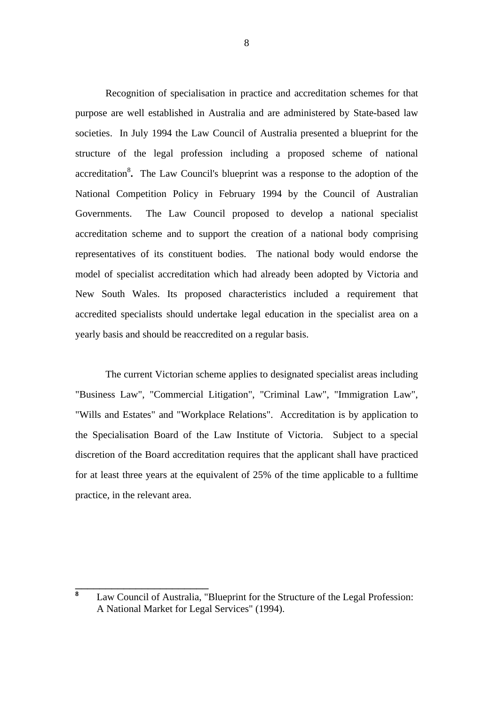Recognition of specialisation in practice and accreditation schemes for that purpose are well established in Australia and are administered by State-based law societies. In July 1994 the Law Council of Australia presented a blueprint for the structure of the legal profession including a proposed scheme of national accreditation<sup>8</sup>. The Law Council's blueprint was a response to the adoption of the National Competition Policy in February 1994 by the Council of Australian Governments. The Law Council proposed to develop a national specialist accreditation scheme and to support the creation of a national body comprising representatives of its constituent bodies. The national body would endorse the model of specialist accreditation which had already been adopted by Victoria and New South Wales. Its proposed characteristics included a requirement that accredited specialists should undertake legal education in the specialist area on a yearly basis and should be reaccredited on a regular basis.

 The current Victorian scheme applies to designated specialist areas including "Business Law", "Commercial Litigation", "Criminal Law", "Immigration Law", "Wills and Estates" and "Workplace Relations". Accreditation is by application to the Specialisation Board of the Law Institute of Victoria. Subject to a special discretion of the Board accreditation requires that the applicant shall have practiced for at least three years at the equivalent of 25% of the time applicable to a fulltime practice, in the relevant area.

**<sup>8</sup>** Law Council of Australia, "Blueprint for the Structure of the Legal Profession: A National Market for Legal Services" (1994).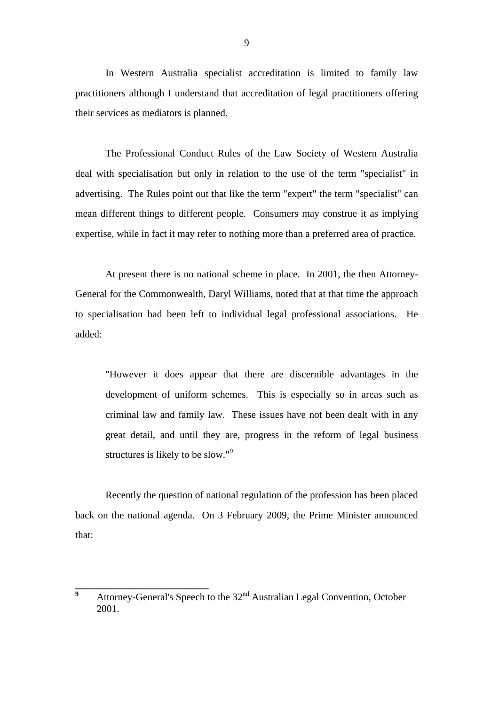In Western Australia specialist accreditation is limited to family law practitioners although I understand that accreditation of legal practitioners offering their services as mediators is planned.

 The Professional Conduct Rules of the Law Society of Western Australia deal with specialisation but only in relation to the use of the term "specialist" in advertising. The Rules point out that like the term "expert" the term "specialist" can mean different things to different people. Consumers may construe it as implying expertise, while in fact it may refer to nothing more than a preferred area of practice.

 At present there is no national scheme in place. In 2001, the then Attorney-General for the Commonwealth, Daryl Williams, noted that at that time the approach to specialisation had been left to individual legal professional associations. He added:

 "However it does appear that there are discernible advantages in the development of uniform schemes. This is especially so in areas such as criminal law and family law. These issues have not been dealt with in any great detail, and until they are, progress in the reform of legal business structures is likely to be slow."<sup>9</sup>

 Recently the question of national regulation of the profession has been placed back on the national agenda. On 3 February 2009, the Prime Minister announced that:

**<sup>9</sup>** Attorney-General's Speech to the 32<sup>nd</sup> Australian Legal Convention, October 2001.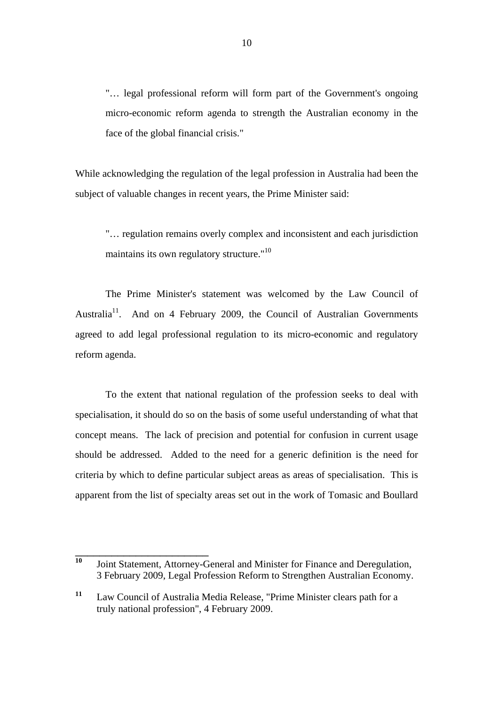"… legal professional reform will form part of the Government's ongoing micro-economic reform agenda to strength the Australian economy in the face of the global financial crisis."

While acknowledging the regulation of the legal profession in Australia had been the subject of valuable changes in recent years, the Prime Minister said:

 "… regulation remains overly complex and inconsistent and each jurisdiction maintains its own regulatory structure."<sup>10</sup>

 The Prime Minister's statement was welcomed by the Law Council of Australia<sup>11</sup>. And on 4 February 2009, the Council of Australian Governments agreed to add legal professional regulation to its micro-economic and regulatory reform agenda.

 To the extent that national regulation of the profession seeks to deal with specialisation, it should do so on the basis of some useful understanding of what that concept means. The lack of precision and potential for confusion in current usage should be addressed. Added to the need for a generic definition is the need for criteria by which to define particular subject areas as areas of specialisation. This is apparent from the list of specialty areas set out in the work of Tomasic and Boullard

**<sup>10</sup>** Joint Statement, Attorney-General and Minister for Finance and Deregulation, 3 February 2009, Legal Profession Reform to Strengthen Australian Economy.

**<sup>11</sup>** Law Council of Australia Media Release, "Prime Minister clears path for a truly national profession", 4 February 2009.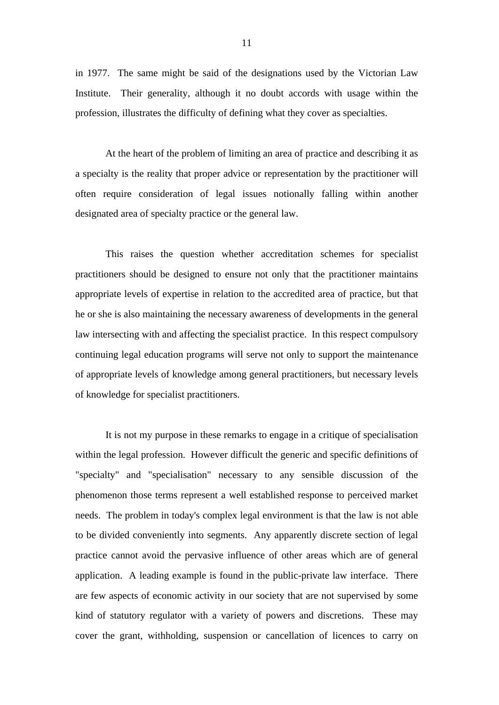in 1977. The same might be said of the designations used by the Victorian Law Institute. Their generality, although it no doubt accords with usage within the profession, illustrates the difficulty of defining what they cover as specialties.

 At the heart of the problem of limiting an area of practice and describing it as a specialty is the reality that proper advice or representation by the practitioner will often require consideration of legal issues notionally falling within another designated area of specialty practice or the general law.

 This raises the question whether accreditation schemes for specialist practitioners should be designed to ensure not only that the practitioner maintains appropriate levels of expertise in relation to the accredited area of practice, but that he or she is also maintaining the necessary awareness of developments in the general law intersecting with and affecting the specialist practice. In this respect compulsory continuing legal education programs will serve not only to support the maintenance of appropriate levels of knowledge among general practitioners, but necessary levels of knowledge for specialist practitioners.

 It is not my purpose in these remarks to engage in a critique of specialisation within the legal profession. However difficult the generic and specific definitions of "specialty" and "specialisation" necessary to any sensible discussion of the phenomenon those terms represent a well established response to perceived market needs. The problem in today's complex legal environment is that the law is not able to be divided conveniently into segments. Any apparently discrete section of legal practice cannot avoid the pervasive influence of other areas which are of general application. A leading example is found in the public-private law interface. There are few aspects of economic activity in our society that are not supervised by some kind of statutory regulator with a variety of powers and discretions. These may cover the grant, withholding, suspension or cancellation of licences to carry on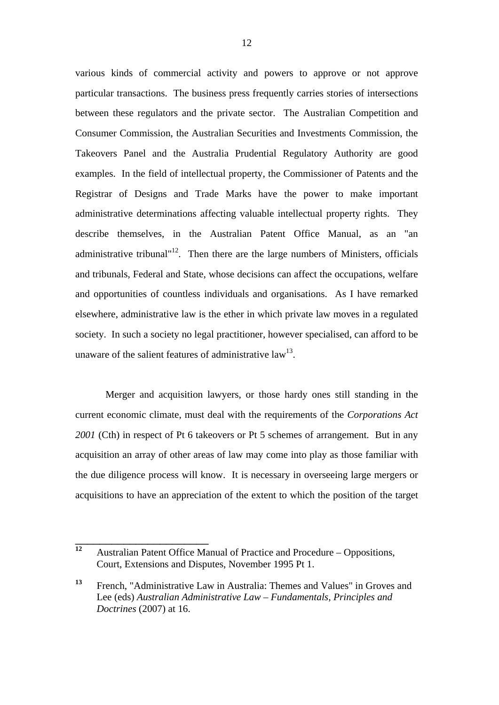various kinds of commercial activity and powers to approve or not approve particular transactions. The business press frequently carries stories of intersections between these regulators and the private sector. The Australian Competition and Consumer Commission, the Australian Securities and Investments Commission, the Takeovers Panel and the Australia Prudential Regulatory Authority are good examples. In the field of intellectual property, the Commissioner of Patents and the Registrar of Designs and Trade Marks have the power to make important administrative determinations affecting valuable intellectual property rights. They describe themselves, in the Australian Patent Office Manual, as an "an administrative tribunal"<sup>12</sup>. Then there are the large numbers of Ministers, officials and tribunals, Federal and State, whose decisions can affect the occupations, welfare and opportunities of countless individuals and organisations. As I have remarked elsewhere, administrative law is the ether in which private law moves in a regulated society. In such a society no legal practitioner, however specialised, can afford to be unaware of the salient features of administrative  $law<sup>13</sup>$ .

Merger and acquisition lawyers, or those hardy ones still standing in the current economic climate, must deal with the requirements of the *Corporations Act 2001* (Cth) in respect of Pt 6 takeovers or Pt 5 schemes of arrangement. But in any acquisition an array of other areas of law may come into play as those familiar with the due diligence process will know. It is necessary in overseeing large mergers or acquisitions to have an appreciation of the extent to which the position of the target

<sup>&</sup>lt;sup>12</sup> Australian Patent Office Manual of Practice and Procedure – Oppositions, Court, Extensions and Disputes, November 1995 Pt 1.

**<sup>13</sup>** French, "Administrative Law in Australia: Themes and Values" in Groves and Lee (eds) *Australian Administrative Law – Fundamentals, Principles and Doctrines* (2007) at 16.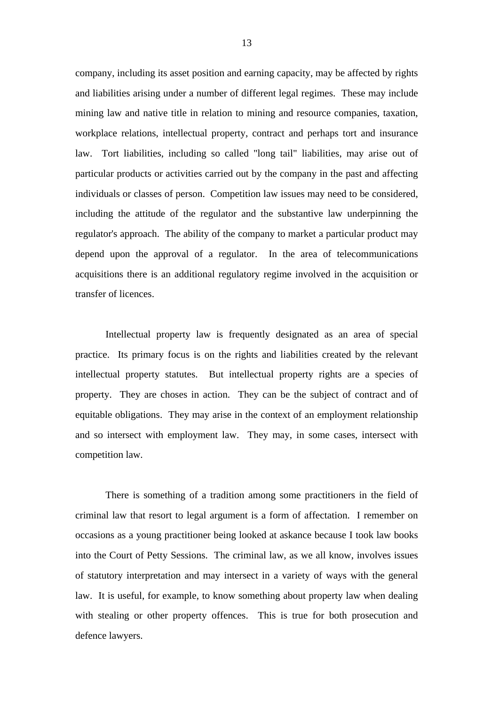company, including its asset position and earning capacity, may be affected by rights and liabilities arising under a number of different legal regimes. These may include mining law and native title in relation to mining and resource companies, taxation, workplace relations, intellectual property, contract and perhaps tort and insurance law. Tort liabilities, including so called "long tail" liabilities, may arise out of particular products or activities carried out by the company in the past and affecting individuals or classes of person. Competition law issues may need to be considered, including the attitude of the regulator and the substantive law underpinning the regulator's approach. The ability of the company to market a particular product may depend upon the approval of a regulator. In the area of telecommunications acquisitions there is an additional regulatory regime involved in the acquisition or transfer of licences.

 Intellectual property law is frequently designated as an area of special practice. Its primary focus is on the rights and liabilities created by the relevant intellectual property statutes. But intellectual property rights are a species of property. They are choses in action. They can be the subject of contract and of equitable obligations. They may arise in the context of an employment relationship and so intersect with employment law. They may, in some cases, intersect with competition law.

 There is something of a tradition among some practitioners in the field of criminal law that resort to legal argument is a form of affectation. I remember on occasions as a young practitioner being looked at askance because I took law books into the Court of Petty Sessions. The criminal law, as we all know, involves issues of statutory interpretation and may intersect in a variety of ways with the general law. It is useful, for example, to know something about property law when dealing with stealing or other property offences. This is true for both prosecution and defence lawyers.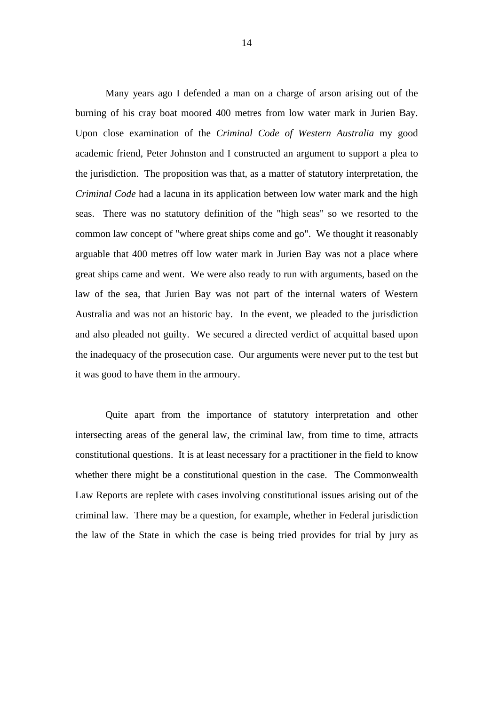Many years ago I defended a man on a charge of arson arising out of the burning of his cray boat moored 400 metres from low water mark in Jurien Bay. Upon close examination of the *Criminal Code of Western Australia* my good academic friend, Peter Johnston and I constructed an argument to support a plea to the jurisdiction. The proposition was that, as a matter of statutory interpretation, the *Criminal Code* had a lacuna in its application between low water mark and the high seas. There was no statutory definition of the "high seas" so we resorted to the common law concept of "where great ships come and go". We thought it reasonably arguable that 400 metres off low water mark in Jurien Bay was not a place where great ships came and went. We were also ready to run with arguments, based on the law of the sea, that Jurien Bay was not part of the internal waters of Western Australia and was not an historic bay. In the event, we pleaded to the jurisdiction and also pleaded not guilty. We secured a directed verdict of acquittal based upon the inadequacy of the prosecution case. Our arguments were never put to the test but it was good to have them in the armoury.

 Quite apart from the importance of statutory interpretation and other intersecting areas of the general law, the criminal law, from time to time, attracts constitutional questions. It is at least necessary for a practitioner in the field to know whether there might be a constitutional question in the case. The Commonwealth Law Reports are replete with cases involving constitutional issues arising out of the criminal law. There may be a question, for example, whether in Federal jurisdiction the law of the State in which the case is being tried provides for trial by jury as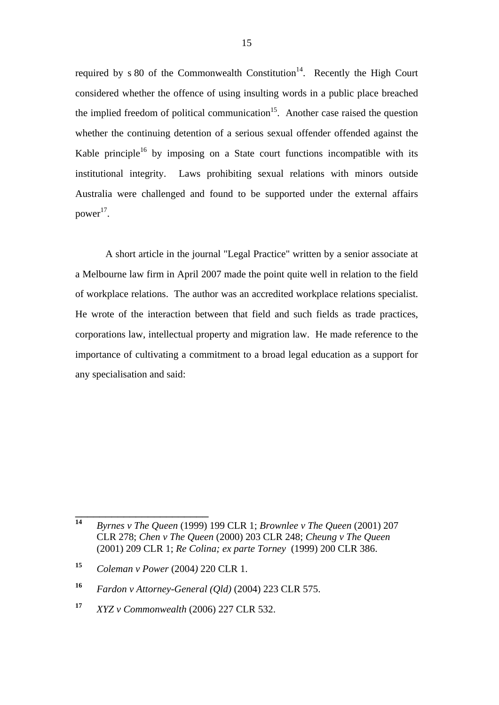required by  $s 80$  of the Commonwealth Constitution<sup>14</sup>. Recently the High Court considered whether the offence of using insulting words in a public place breached the implied freedom of political communication<sup>15</sup>. Another case raised the question whether the continuing detention of a serious sexual offender offended against the Kable principle<sup>16</sup> by imposing on a State court functions incompatible with its institutional integrity. Laws prohibiting sexual relations with minors outside Australia were challenged and found to be supported under the external affairs power<sup>17</sup>.

 A short article in the journal "Legal Practice" written by a senior associate at a Melbourne law firm in April 2007 made the point quite well in relation to the field of workplace relations. The author was an accredited workplace relations specialist. He wrote of the interaction between that field and such fields as trade practices, corporations law, intellectual property and migration law. He made reference to the importance of cultivating a commitment to a broad legal education as a support for any specialisation and said:

**<sup>14</sup>** *Byrnes v The Queen* (1999) 199 CLR 1; *Brownlee v The Queen* (2001) 207 CLR 278; *Chen v The Queen* (2000) 203 CLR 248; *Cheung v The Queen* (2001) 209 CLR 1; *Re Colina; ex parte Torney* (1999) 200 CLR 386.

**<sup>15</sup>** *Coleman v Power* (2004*)* 220 CLR 1.

**<sup>16</sup>** *Fardon v Attorney-General (Qld)* (2004) 223 CLR 575.

**<sup>17</sup>** *XYZ v Commonwealth* (2006) 227 CLR 532.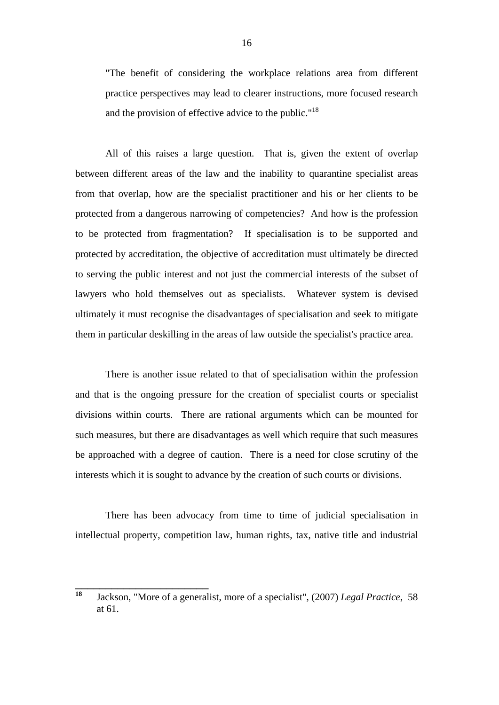"The benefit of considering the workplace relations area from different practice perspectives may lead to clearer instructions, more focused research and the provision of effective advice to the public."<sup>18</sup>

 All of this raises a large question. That is, given the extent of overlap between different areas of the law and the inability to quarantine specialist areas from that overlap, how are the specialist practitioner and his or her clients to be protected from a dangerous narrowing of competencies? And how is the profession to be protected from fragmentation? If specialisation is to be supported and protected by accreditation, the objective of accreditation must ultimately be directed to serving the public interest and not just the commercial interests of the subset of lawyers who hold themselves out as specialists. Whatever system is devised ultimately it must recognise the disadvantages of specialisation and seek to mitigate them in particular deskilling in the areas of law outside the specialist's practice area.

 There is another issue related to that of specialisation within the profession and that is the ongoing pressure for the creation of specialist courts or specialist divisions within courts. There are rational arguments which can be mounted for such measures, but there are disadvantages as well which require that such measures be approached with a degree of caution. There is a need for close scrutiny of the interests which it is sought to advance by the creation of such courts or divisions.

 There has been advocacy from time to time of judicial specialisation in intellectual property, competition law, human rights, tax, native title and industrial

**<sup>18</sup>** Jackson, "More of a generalist, more of a specialist", (2007) *Legal Practice*, 58 at 61.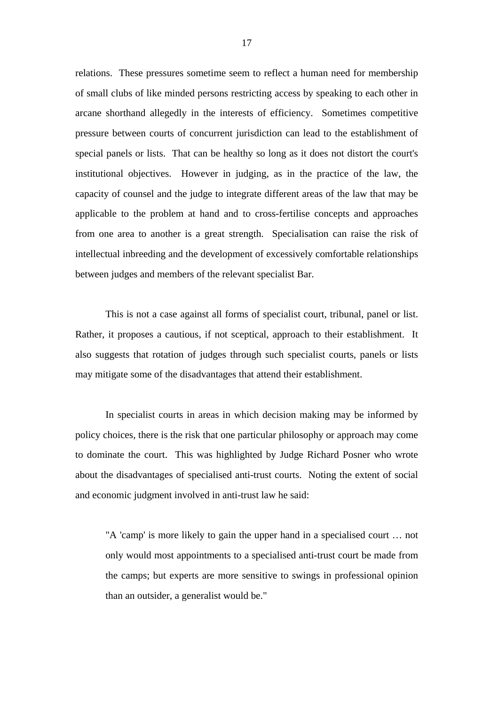relations. These pressures sometime seem to reflect a human need for membership of small clubs of like minded persons restricting access by speaking to each other in arcane shorthand allegedly in the interests of efficiency. Sometimes competitive pressure between courts of concurrent jurisdiction can lead to the establishment of special panels or lists. That can be healthy so long as it does not distort the court's institutional objectives. However in judging, as in the practice of the law, the capacity of counsel and the judge to integrate different areas of the law that may be applicable to the problem at hand and to cross-fertilise concepts and approaches from one area to another is a great strength. Specialisation can raise the risk of intellectual inbreeding and the development of excessively comfortable relationships between judges and members of the relevant specialist Bar.

 This is not a case against all forms of specialist court, tribunal, panel or list. Rather, it proposes a cautious, if not sceptical, approach to their establishment. It also suggests that rotation of judges through such specialist courts, panels or lists may mitigate some of the disadvantages that attend their establishment.

 In specialist courts in areas in which decision making may be informed by policy choices, there is the risk that one particular philosophy or approach may come to dominate the court. This was highlighted by Judge Richard Posner who wrote about the disadvantages of specialised anti-trust courts. Noting the extent of social and economic judgment involved in anti-trust law he said:

 "A 'camp' is more likely to gain the upper hand in a specialised court … not only would most appointments to a specialised anti-trust court be made from the camps; but experts are more sensitive to swings in professional opinion than an outsider, a generalist would be."